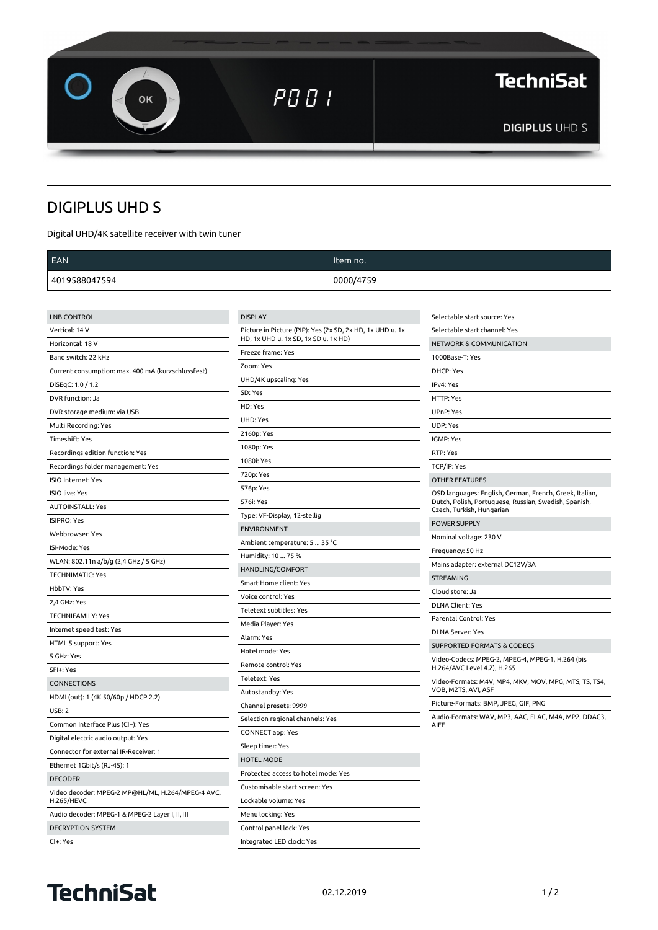**TechniSat**  $P \Box G$  ! OK **DIGIPLUS UHD S** 

## **DIGIPLUS UHD S**

Digital UHD/4K satellite receiver with twin tuner

| <b>EAN</b>          |                                                           | Item no.  |                                    |
|---------------------|-----------------------------------------------------------|-----------|------------------------------------|
| 4019588047594       |                                                           | 0000/4759 |                                    |
|                     |                                                           |           |                                    |
| <b>LNB CONTROL</b>  | <b>DISPLAY</b>                                            |           | Selectable start source: Yes       |
| Vertical: 14 V      | Picture in Picture (PIP): Yes (2x SD, 2x HD, 1x UHD u. 1x |           | Selectable start channel: Yes      |
| Horizontal: 18 V    | HD, 1x UHD u. 1x SD, 1x SD u. 1x HD)                      |           | <b>NETWORK &amp; COMMUNICATION</b> |
| Band switch: 22 kHz | Freeze frame: Yes                                         |           | 1000Base-T: Yes                    |

|                                                    | Freeze frame: Yes            |
|----------------------------------------------------|------------------------------|
| Band switch: 22 kHz                                | Zoom: Yes                    |
| Current consumption: max. 400 mA (kurzschlussfest) | UHD/4K upscaling: Yes        |
| DiSEqC: 1.0 / 1.2                                  | SD: Yes                      |
| DVR function: Ja                                   | HD: Yes                      |
| DVR storage medium: via USB                        |                              |
| Multi Recording: Yes                               | <b>UHD: Yes</b>              |
| Timeshift: Yes                                     | 2160p: Yes                   |
| Recordings edition function: Yes                   | 1080p: Yes                   |
| Recordings folder management: Yes                  | 1080i: Yes                   |
| ISIO Internet: Yes                                 | 720p: Yes                    |
| ISIO live: Yes                                     | 576p: Yes                    |
| <b>AUTOINSTALL: Yes</b>                            | 576i: Yes                    |
| ISIPRO: Yes                                        | Type: VF-Display, 12-stellig |
| Webbrowser: Yes                                    | <b>ENVIRONMENT</b>           |
| ISI-Mode: Yes                                      | Ambient temperature: 5       |
| WLAN: 802.11n a/b/g (2,4 GHz / 5 GHz)              | Humidity: 10  75 %           |
| <b>TECHNIMATIC: Yes</b>                            | HANDLING/COMFORT             |
| <b>HbbTV: Yes</b>                                  | Smart Home client: Yes       |
| 2,4 GHz: Yes                                       | Voice control: Yes           |
| <b>TECHNIFAMILY: Yes</b>                           | Teletext subtitles: Yes      |
| Internet speed test: Yes                           | Media Player: Yes            |
| HTML 5 support: Yes                                | Alarm: Yes                   |
| 5 GHz: Yes                                         | Hotel mode: Yes              |
| SFI+: Yes                                          | Remote control: Yes          |
| <b>CONNECTIONS</b>                                 | Teletext: Yes                |
| HDMI (out): 1 (4K 50/60p / HDCP 2.2)               | Autostandby: Yes             |
| <b>USB: 2</b>                                      | Channel presets: 9999        |
| Common Interface Plus (CI+): Yes                   | Selection regional channe    |
| Digital electric audio output: Yes                 | <b>CONNECT app: Yes</b>      |
| Connector for external IR-Receiver: 1              | Sleep timer: Yes             |
| Ethernet 1Gbit/s (RJ-45): 1                        | <b>HOTEL MODE</b>            |
| <b>DECODER</b>                                     | Protected access to hotel    |
| Video decoder: MPEG-2 MP@HL/ML, H.264/MPEG-4 AVC,  | Customisable start screen    |
| <b>H.265/HEVC</b>                                  | Lockable volume: Yes         |
| Audio decoder: MPEG-1 & MPEG-2 Layer I, II, III    | Menu locking: Yes            |
| <b>DECRYPTION SYSTEM</b>                           | Control panel lock: Yes      |
| Cl+: Yes                                           | Integrated LED clock: Yes    |

| HD, 1x UHD u. 1x SD, 1x SD u. 1x HD) | <b>NETWORK &amp; CO</b>            |
|--------------------------------------|------------------------------------|
| Freeze frame: Yes                    | 1000Base-T: Ye                     |
| Zoom: Yes                            | DHCP: Yes                          |
| UHD/4K upscaling: Yes                | IPv4: Yes                          |
| SD: Yes                              | HTTP: Yes                          |
| HD: Yes                              | UPnP: Yes                          |
| <b>UHD: Yes</b>                      | <b>UDP: Yes</b>                    |
| 2160p: Yes                           | IGMP: Yes                          |
| 1080p: Yes                           | RTP: Yes                           |
| 1080i: Yes                           | TCP/IP: Yes                        |
| 720p: Yes                            |                                    |
| 576p: Yes                            | <b>OTHER FEATUR</b>                |
| 576i: Yes                            | OSD languages:<br>Dutch, Polish, P |
| Type: VF-Display, 12-stellig         | Czech, Turkish,                    |
| <b>ENVIRONMENT</b>                   | POWER SUPPLY                       |
| Ambient temperature: 5  35 °C        | Nominal voltag                     |
| Humidity: 10  75 %                   | Frequency: 50 H                    |
| HANDLING/COMFORT                     | Mains adapter:                     |
| Smart Home client: Yes               | <b>STREAMING</b>                   |
| Voice control: Yes                   | Cloud store: Ja                    |
| Teletext subtitles: Yes              | DLNA Client: Ye                    |
| Media Player: Yes                    | Parental Contro                    |
| Alarm: Yes                           | <b>DLNA Server: Y</b>              |
| Hotel mode: Yes                      | <b>SUPPORTED FC</b>                |
| Remote control: Yes                  | Video-Codecs: I<br>H.264/AVC Leve  |
| Teletext: Yes                        | Video-Formats:                     |
| Autostandby: Yes                     | VOB, M2TS, AV                      |
| Channel presets: 9999                | Picture-Format:                    |
| Selection regional channels: Yes     | Audio-Formats:<br><b>AIFF</b>      |
| CONNECT app: Yes                     |                                    |
| Sleep timer: Yes                     |                                    |
| <b>HOTEL MODE</b>                    |                                    |
| Protected access to hotel mode: Yes  |                                    |
| Customisable start screen: Yes       |                                    |
| Lockable volume: Yes                 |                                    |
| Menu locking: Yes                    |                                    |
| Control panel lock: Yes              |                                    |

| <b>NETWORK &amp; COMMUNICATION</b>                                                                                                            |
|-----------------------------------------------------------------------------------------------------------------------------------------------|
| 1000Base-T: Yes                                                                                                                               |
| DHCP: Yes                                                                                                                                     |
| IPv4: Yes                                                                                                                                     |
| <b>HTTP: Yes</b>                                                                                                                              |
| UPnP: Yes                                                                                                                                     |
| <b>UDP: Yes</b>                                                                                                                               |
| <b>IGMP: Yes</b>                                                                                                                              |
| RTP: Yes                                                                                                                                      |
| TCP/IP: Yes                                                                                                                                   |
| <b>OTHER FEATURES</b>                                                                                                                         |
| OSD languages: English, German, French, Greek, Italian,<br>Dutch, Polish, Portuguese, Russian, Swedish, Spanish,<br>Czech, Turkish, Hungarian |
| <b>POWER SUPPLY</b>                                                                                                                           |
| Nominal voltage: 230 V                                                                                                                        |
| Frequency: 50 Hz                                                                                                                              |
| Mains adapter: external DC12V/3A                                                                                                              |
| <b>STREAMING</b>                                                                                                                              |
| Cloud store: Ja                                                                                                                               |
| <b>DLNA Client: Yes</b>                                                                                                                       |
| Parental Control: Yes                                                                                                                         |

'es

DRMATS & CODECS

Video-Codecs: MPEG-2, MPEG-4, MPEG-1, H.264 (bis H.264/AVC Level 4.2), H.265

: M4V, MP4, MKV, MOV, MPG, MTS, TS, TS4, l, ASF

s: BMP, JPEG, GIF, PNG

.<br>WAV, MP3, AAC, FLAC, M4A, MP2, DDAC3,

## **TechniSat**